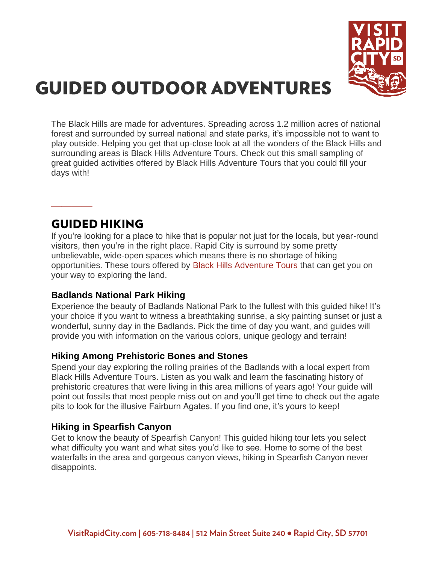

# **GUIDED OUTDOOR ADVENTURES**

The Black Hills are made for adventures. Spreading across 1.2 million acres of national forest and surrounded by surreal national and state parks, it's impossible not to want to play outside. Helping you get that up-close look at all the wonders of the Black Hills and surrounding areas is Black Hills Adventure Tours. Check out this small sampling of great guided activities offered by Black Hills Adventure Tours that you could fill your days with!

### **GUIDED HIKING**

**\_\_\_\_**

If you're looking for a place to hike that is popular not just for the locals, but year-round visitors, then you're in the right place. Rapid City is surround by some pretty unbelievable, wide-open spaces which means there is no shortage of hiking opportunities. These tours offered by **[Black Hills Adventure Tours](https://www.blackhillsadventuretours.com/)** that can get you on your way to exploring the land.

### **[Badlands National Park Hiking](https://www.blackhillsadventuretours.com/copy-of-tours-services)**

Experience the beauty of Badlands National Park to the fullest with this guided hike! It's your choice if you want to witness a breathtaking sunrise, a sky painting sunset or just a wonderful, sunny day in the Badlands. Pick the time of day you want, and guides will provide you with information on the various colors, unique geology and terrain!

### **[Hiking Among Prehistoric Bones and Stones](https://www.blackhillsadventuretours.com/copy-of-tours-services)**

Spend your day exploring the rolling prairies of the Badlands with a local expert from Black Hills Adventure Tours. Listen as you walk and learn the fascinating history of prehistoric creatures that were living in this area millions of years ago! Your guide will point out fossils that most people miss out on and you'll get time to check out the agate pits to look for the illusive Fairburn Agates. If you find one, it's yours to keep!

### **[Hiking in Spearfish Canyon](https://www.blackhillsadventuretours.com/copy-of-tours-services)**

Get to know the beauty of Spearfish Canyon! This guided hiking tour lets you select what difficulty you want and what sites you'd like to see. Home to some of the best waterfalls in the area and gorgeous canyon views, hiking in Spearfish Canyon never disappoints.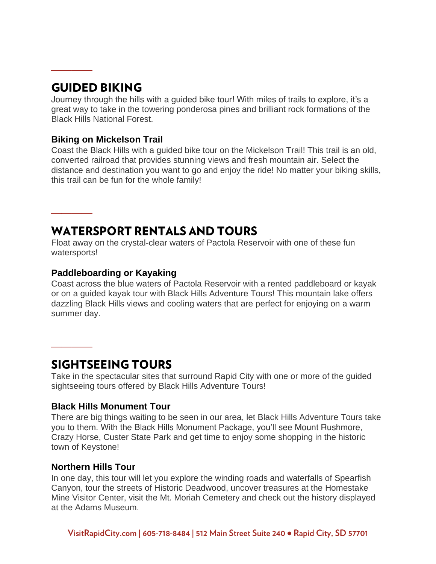### **GUIDED BIKING**

**\_\_\_\_**

**\_\_\_\_**

**\_\_\_\_**

Journey through the hills with a guided bike tour! With miles of trails to explore, it's a great way to take in the towering ponderosa pines and brilliant rock formations of the Black Hills National Forest.

#### **[Biking on Mickelson Trail](https://www.blackhillsadventuretours.com/copy-of-tours-services)**

Coast the Black Hills with a guided bike tour on the Mickelson Trail! This trail is an old, converted railroad that provides stunning views and fresh mountain air. Select the distance and destination you want to go and enjoy the ride! No matter your biking skills, this trail can be fun for the whole family!

## **WATERSPORT RENTALS AND TOURS**

Float away on the crystal-clear waters of Pactola Reservoir with one of these fun watersports!

#### **[Paddleboarding](https://www.blackhillsadventuretours.com/copy-of-tours-services) or Kayaking**

Coast across the blue waters of Pactola Reservoir with a rented paddleboard or kayak or on a guided kayak tour with Black Hills Adventure Tours! This mountain lake offers dazzling Black Hills views and cooling waters that are perfect for enjoying on a warm summer day.

### **SIGHTSEEING TOURS**

Take in the spectacular sites that surround Rapid City with one or more of the guided sightseeing tours offered by Black Hills Adventure Tours!

#### **[Black Hills Monument Tour](https://www.blackhillsadventuretours.com/copy-of-adventure-tours)**

There are big things waiting to be seen in our area, let Black Hills Adventure Tours take you to them. With the Black Hills Monument Package, you'll see Mount Rushmore, Crazy Horse, Custer State Park and get time to enjoy some shopping in the historic town of Keystone!

### **[Northern Hills Tour](https://www.blackhillsadventuretours.com/copy-of-adventure-tours)**

In one day, this tour will let you explore the winding roads and waterfalls of Spearfish Canyon, tour the streets of Historic Deadwood, uncover treasures at the Homestake Mine Visitor Center, visit the Mt. Moriah Cemetery and check out the history displayed at the Adams Museum.